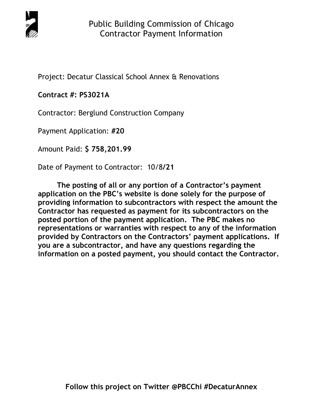

Project: Decatur Classical School Annex & Renovations

# **Contract #: PS3021A**

Contractor: Berglund Construction Company

Payment Application: **#20** 

Amount Paid: **\$ 758,201.99** 

Date of Payment to Contractor: 10/8**/21** 

**The posting of all or any portion of a Contractor's payment application on the PBC's website is done solely for the purpose of providing information to subcontractors with respect the amount the Contractor has requested as payment for its subcontractors on the posted portion of the payment application. The PBC makes no representations or warranties with respect to any of the information provided by Contractors on the Contractors' payment applications. If you are a subcontractor, and have any questions regarding the information on a posted payment, you should contact the Contractor.**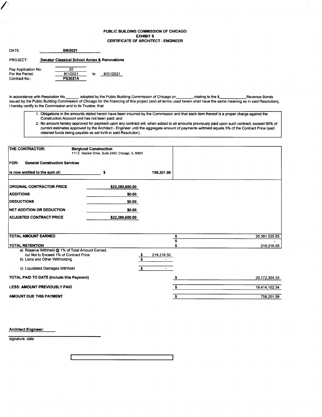### PUBLIC BUILDING COMMISSION OF CHICAGO **EXHIBIT S** CERTIFICATE OF ARCHITECT . ENGINEER

| <b>DATE:</b>                            | 9/9/2021                                                |    |           |
|-----------------------------------------|---------------------------------------------------------|----|-----------|
| <b>PROJECT:</b>                         | <b>Decatur Classical School Annex &amp; Renovations</b> |    |           |
| Pay Application No.:<br>For the Period: | 20<br>8/1/2021                                          | to | 8/31/2021 |
| Contract No.:                           | <b>PS3021A</b>                                          |    |           |

/''

In accordance with Resolution No.**communisties** adopted by the Public Building Commission of Chicago on**e Archael School Chicagoon**, relating to the \$**\_\_\_\_\_\_\_\_\_\_\_\_\_\_\_\_\_\_\_\_\_Revenue Bond** issued by the Public Building Commission of Chicago for the financing of this project (and all terms used herein shall have the same meaning as in said Resolution), I hereby certify to the Commission and to its Trustee, that:

- 1. Obligations in the amounts stated herein have been incurred by the Commission and that each item thereof is a proper charge against the Construction Account and has not been paid; and
- 2. No amount hereby approved for payment upon any contract will, when added to all amounts previously paid upon such contract, exceed 90% of current estimates approved by the Architect - Engineer until the aggregate amount of payments withheld equals 5% of the Contract Price (said retained funds being payable as set forth in said Resolution).

| <b>THE CONTRACTOR:</b>                                                                                                       | <b>Berglund Construction</b><br>111 E. Wacker Drive, Suite 2450, Chicago, IL 60601 |                 |            |               |
|------------------------------------------------------------------------------------------------------------------------------|------------------------------------------------------------------------------------|-----------------|------------|---------------|
| <b>General Construction Services</b><br>FOR:                                                                                 |                                                                                    |                 |            |               |
| is now entitled to the sum of:                                                                                               | \$                                                                                 |                 | 758,201.99 |               |
| <b>ORIGINAL CONTRACTOR PRICE</b>                                                                                             |                                                                                    | \$22,389,600.00 |            |               |
| <b>ADDITIONS</b>                                                                                                             |                                                                                    | \$0.00          |            |               |
| <b>DEDUCTIONS</b>                                                                                                            |                                                                                    | \$0.00          |            |               |
| NET ADDITION OR DEDUCTION                                                                                                    |                                                                                    | \$0.00          |            |               |
| <b>ADJUSTED CONTRACT PRICE</b>                                                                                               |                                                                                    | \$22,389,600.00 |            |               |
|                                                                                                                              |                                                                                    |                 |            |               |
|                                                                                                                              |                                                                                    |                 |            |               |
| TOTAL AMOUNT EARNED                                                                                                          |                                                                                    |                 | \$<br>\$   | 20,391,520.83 |
| <b>TOTAL RETENTION</b>                                                                                                       |                                                                                    |                 |            | 219,216.50    |
| a) Reserve Withheld @ 1% of Total Amount Earned.<br>but Not to Exceed 1% of Contract Price<br>b) Liens and Other Withholding |                                                                                    | $\frac{s}{s}$   | 219,216.50 |               |
| c) Liquidated Damages Withheld                                                                                               |                                                                                    | S.              | $\sim$     |               |
| <b>TOTAL PAID TO DATE (Include this Payment)</b>                                                                             |                                                                                    |                 |            | 20,172,304.33 |
| <b>LESS: AMOUNT PREVIOUSLY PAID</b>                                                                                          |                                                                                    |                 | \$         | 19,414,102.34 |
| AMOUNT DUE THIS PAYMENT                                                                                                      |                                                                                    |                 | \$         | 758,201.99    |

Architect Engineer:

signature, date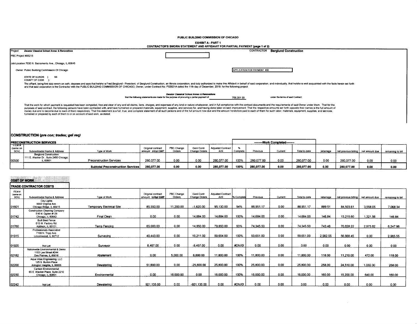PUBLIC BUILDING COMMISSION OF CHICAGO

#### EXHIBIT A - PART 1

| CONTRACTOR'S SWORN STATEMENT AND AFFIDAVIT FOR PARTIAL PAYMENT (page 1 of 2) |  |
|------------------------------------------------------------------------------|--|
|------------------------------------------------------------------------------|--|

|         |                                                                                                                                                                                                                                                                                                                                                                                                                                                                                                                                                                                                                                                                                                                                                                                       | <b>CONTRACTORS SWORN STATEMENT AND AFFIDAVITY OR PARTIAL PATMENT (DRUG T.01.4)</b>                                                       |                                    |                                   |
|---------|---------------------------------------------------------------------------------------------------------------------------------------------------------------------------------------------------------------------------------------------------------------------------------------------------------------------------------------------------------------------------------------------------------------------------------------------------------------------------------------------------------------------------------------------------------------------------------------------------------------------------------------------------------------------------------------------------------------------------------------------------------------------------------------|------------------------------------------------------------------------------------------------------------------------------------------|------------------------------------|-----------------------------------|
| Project | Decatur Classical School Annex & Renovations                                                                                                                                                                                                                                                                                                                                                                                                                                                                                                                                                                                                                                                                                                                                          |                                                                                                                                          | CONTRACTOR                         | <b>Berglund Construction</b>      |
|         | PBC Project #05215                                                                                                                                                                                                                                                                                                                                                                                                                                                                                                                                                                                                                                                                                                                                                                    |                                                                                                                                          |                                    |                                   |
|         | Job Location 7030 N. Sacramento Ave., Chicago, IL 60645                                                                                                                                                                                                                                                                                                                                                                                                                                                                                                                                                                                                                                                                                                                               |                                                                                                                                          |                                    |                                   |
|         | Owner Public Building Commission Of Chicago                                                                                                                                                                                                                                                                                                                                                                                                                                                                                                                                                                                                                                                                                                                                           |                                                                                                                                          | <b>APPLICATION FOR PAYMENT #20</b> |                                   |
|         | <b>STATE OF ILLINOIS</b><br>SS.<br>COUNTY OF COOK                                                                                                                                                                                                                                                                                                                                                                                                                                                                                                                                                                                                                                                                                                                                     |                                                                                                                                          |                                    |                                   |
|         | The affiant, being first duly sworn on oath, deposes and says that he/she is Fred Berglund - President, of Berglund Construction, an Illinois corporation, and duly authorized to make this Affidavit in behalf of said corpor<br>and that said corporation is the Contractor with the PUBLIC BUILDING COMMISSION OF CHICAGO, Owner, under Contract No. PS3021A dated the 11th day of December, 2019, for the following project:                                                                                                                                                                                                                                                                                                                                                      |                                                                                                                                          |                                    |                                   |
|         |                                                                                                                                                                                                                                                                                                                                                                                                                                                                                                                                                                                                                                                                                                                                                                                       | Decatur Classical School Annex & Renovations<br>that the following statements are made for the purpose of procuring a partial payment of | 758,201.99                         | under the terms of said Contract: |
|         | That the work for which payment is requested has been completed, free and clear of any and all claims, liens, charges, and expenses of any kind or nature whatsoever, and in full compliance with the contract documents and t<br>purposes of said contract, the following persons have been contracted with, and have furnished or prepared materials, equipment, supplies, and services for, and having done labor on said improvement. That the respective am<br>money due and to become due to each of them respectively. That this statement is a full, true, and complete statement of all such persons and of the full amount now due and the amount heretofore paid to each of them for su<br>furnished or prepared by each of them to or on account of said work, as stated: |                                                                                                                                          |                                    |                                   |

### CONSTRUCTION (pre con; trades; gel req)

| <b>IPRECONSTRUCTION SERVICES</b>                                   |                                                                           |                                          |                    |                   |                      |                          |          | ---------Work Completed-------- |         |               |           |                                       |      |                   |
|--------------------------------------------------------------------|---------------------------------------------------------------------------|------------------------------------------|--------------------|-------------------|----------------------|--------------------------|----------|---------------------------------|---------|---------------|-----------|---------------------------------------|------|-------------------|
| $\overline{\phantom{a}}$ them $\overline{\phantom{a}}$<br>(same on |                                                                           |                                          | Original contract  | <b>PBC Change</b> | Geni Contr           | <b>Adjusted Contract</b> |          |                                 |         |               |           |                                       |      |                   |
| SOVI                                                               | Subcontractor Name & Address                                              | Type of Work                             | amount initial GMP | Orders            | <b>Change Orders</b> | Amt                      | Complete | Previous                        | Current | Total to date | retainage | net previous billing   net amount due |      | remaining to bill |
|                                                                    | <b>Berglund Construction</b><br>1111 E. Wacker Dr., Suite 2450 Chicago, I |                                          |                    |                   |                      |                          |          |                                 |         |               |           |                                       |      |                   |
| 00500                                                              | L 6060*                                                                   | <b>Preconstruction Services</b>          | 280.077.00         | 0.00              | 0.00                 | 280.077.00               | 100%     | 280.077.00                      | 0.OC    | 280,077.00    | 0.00      | 280.077.00                            | 0.00 | 0.00              |
|                                                                    |                                                                           | <b>Subtotal Preconstruction Services</b> | 280,077.00         | 0.00              | 0.00                 | 280.077.00               | 100%     | 280.077.00                      | 0.00    | 280.077.00    | 0.00      | 280.077.00                            | 0.00 | 0.00              |

# **COST OF WORK**

|                            | <b>TRADE CONTRACTOR COSTS</b>                                                       |                                  |                                          |                      |                                           |                                 |            |           |         |               |           |                        |                |                   |
|----------------------------|-------------------------------------------------------------------------------------|----------------------------------|------------------------------------------|----------------------|-------------------------------------------|---------------------------------|------------|-----------|---------|---------------|-----------|------------------------|----------------|-------------------|
| ITEM #<br>(same on<br>SOV) | Subcontractor Name & Address                                                        | <b>Type of Work</b>              | Original contract<br>amount: initial GMP | PBC Change<br>Orders | <b>Gent Contr</b><br><b>Change Orders</b> | <b>Adjusted Contract</b><br>Amt | % Complete | Previous  | Current | Total to date | retainage | net previous billina I | net amount due | remaining to bill |
| 01601                      | <b>City Lights</b><br>9993 Virginia Ave.<br>Chicago Ridge, IL 60415                 | <b>Temporary Electrical Site</b> | 85,550.00                                | 11,200.00            | $-1,620.00$                               | 95,130.00                       | 94%        | 88,951.17 | 0.00    | 88,951.17     | 889.51    | 84.503.61              | 3.558.05       | 7.068.34          |
| 01742                      | <b>Construction Cleaning Company</b><br>516 N. Ogden #129<br>Chicago, IL 60642      | Final Clean                      | 0.00                                     | 0.00                 | 14.684.00                                 | 14.684.00                       | 100%       | 14.684.00 | 0.00    | 14,684.00     | 146.84    | 13,215.60              | 1,321.56       | 146.84            |
| 01760                      | <b>Built Best Fence</b><br>615 W. Factory Rd.<br>Addison, IL 60101                  | Temp Fencing                     | 65,000.00                                | 0.00                 | 14,850.00                                 | 79,850.00                       | 93%        | 74.345.50 | 0.00    | 74,345.50     | 743.46    | 70,628.22              | 2,973.82       | 6.247.96          |
| 01915                      | Professionals Associated<br>7100 N. Tripp Ave.<br>Lincolnwood, IL 60712             | Surveying                        | 40.443.00                                | 0.00                 | 19,211.00                                 | 59,654.00                       | 100%       | 59,651.00 | 0.00    | 59,651.00     | 2,982.55  | 56,668.45              | 0.00           | 2,985.55          |
| 01920                      | Not Let                                                                             | Surveyor                         | 8,497.00                                 | 0.00                 | $-8,497.00$                               | 0.00                            | #DIV/0!    | 0.00      | 0.00    | 0.00          | 0.00      | 0.00                   | 0.00           | 0.00              |
| 02182                      | Nationwide Environmental & Demo<br>1153 Lee Street #244<br>Des Plaines. IL 60016    | Abatement                        | 0.00                                     | 5.000.00             | 6,800.00                                  | 11.800.00                       | 100%       | 11,800.00 | 0.00    | 11,800.00     | 118.00    | 11,210.00              | 472.00         | 118.00            |
| 02200                      | Agua Vitae Engineering, LLC<br>125 S. Burton Place<br>Arlington Heights, IL 60005   | Dewatering                       | 51,600.00                                | 0.00                 | $-25,800.00$                              | 25,800.00                       | 100%       | 25,800.00 | 0.00    | 25,800.00     | 258.00    | 24.510.00              | 1,032.00       | 258.00            |
| 02230                      | <b>Carlson Environmental</b><br>65 E. Wacker Place, Suite 2210<br>Chicago, IL 60601 | Environmental                    | 0.00                                     | 16.000.00            | 0.00                                      | 16.000.00                       | 100%       | 16.000.00 | 0.00    | 16,000.00     | 160.00    | 15,200.00              | 640.00         | 160.00            |
| 02242                      | Not Let                                                                             | Dewatering                       | 921,135.00                               | 0.00                 | $-921,135.00$                             | 0.00                            | #DIV/0!    | 0.00      | 0.00    | 0.00          | 0.00      | 0.00                   | 0.00           | 0.00              |

 $\sim$